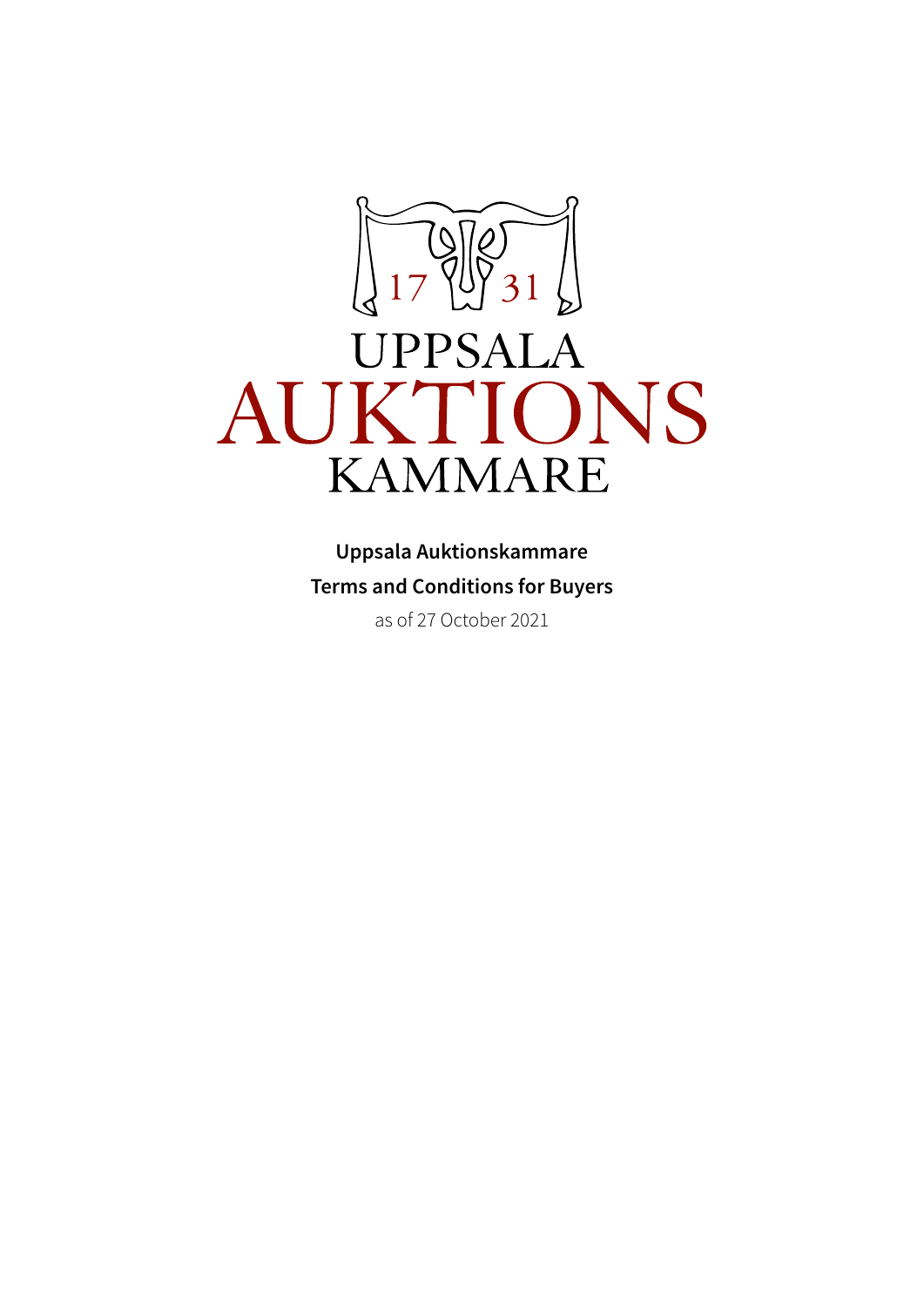

# **UPPSALA** AUKTIONS **KAMMARE**

**Uppsala Auktionskammare Terms and Conditions for Buyers** as of 27 October 2021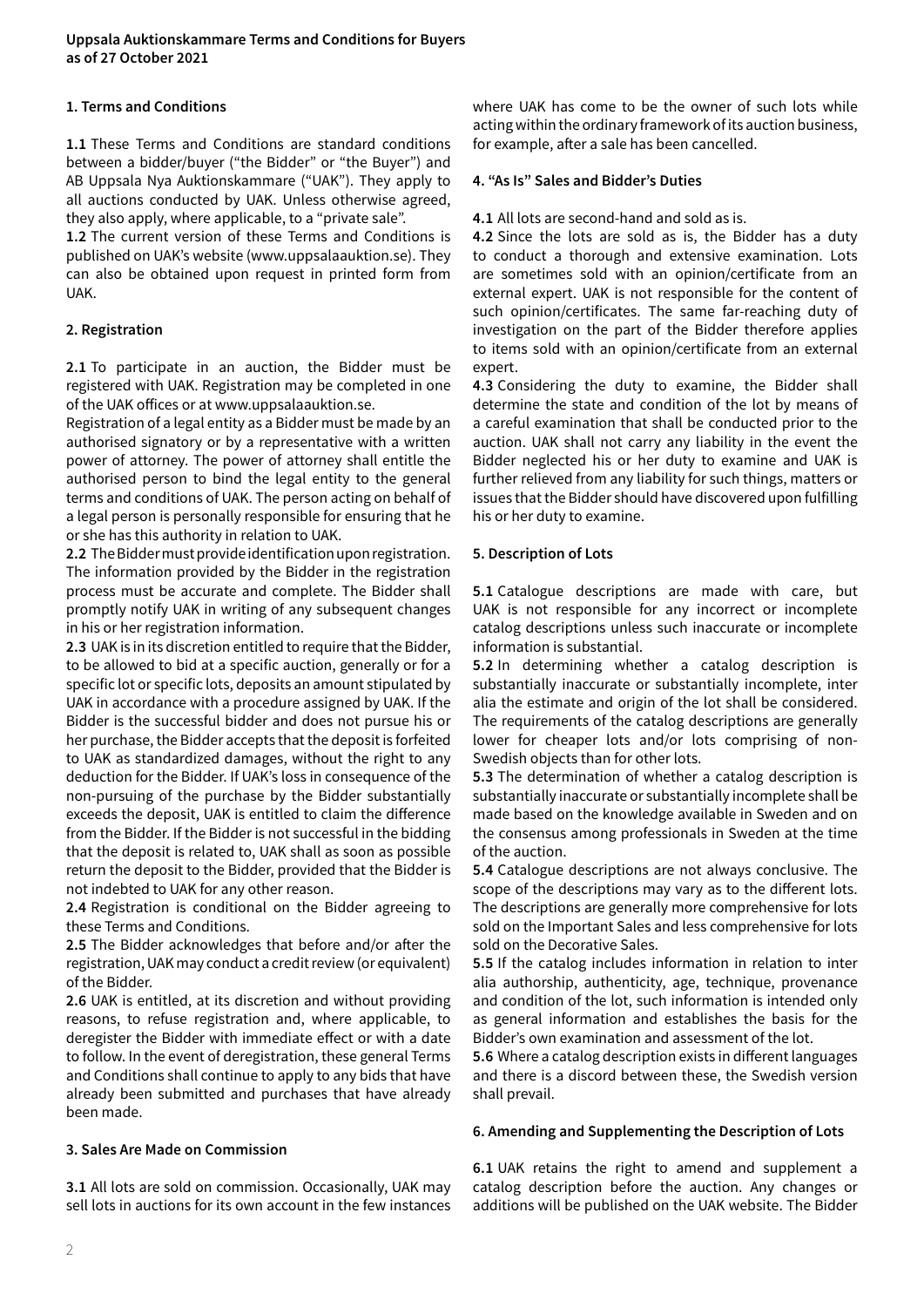# **1. Terms and Conditions**

**1.1** These Terms and Conditions are standard conditions between a bidder/buyer ("the Bidder" or "the Buyer") and AB Uppsala Nya Auktionskammare ("UAK"). They apply to all auctions conducted by UAK. Unless otherwise agreed, they also apply, where applicable, to a "private sale".

**1.2** The current version of these Terms and Conditions is published on UAK's website (www.uppsalaauktion.se). They can also be obtained upon request in printed form from UAK.

# **2. Registration**

**2.1** To participate in an auction, the Bidder must be registered with UAK. Registration may be completed in one of the UAK offices or at www.uppsalaauktion.se.

Registration of a legal entity as a Bidder must be made by an authorised signatory or by a representative with a written power of attorney. The power of attorney shall entitle the authorised person to bind the legal entity to the general terms and conditions of UAK. The person acting on behalf of a legal person is personally responsible for ensuring that he or she has this authority in relation to UAK.

**2.2** The Bidder must provide identification upon registration. The information provided by the Bidder in the registration process must be accurate and complete. The Bidder shall promptly notify UAK in writing of any subsequent changes in his or her registration information.

**2.3** UAK is in its discretion entitled to require that the Bidder, to be allowed to bid at a specific auction, generally or for a specific lot or specific lots, deposits an amount stipulated by UAK in accordance with a procedure assigned by UAK. If the Bidder is the successful bidder and does not pursue his or her purchase, the Bidder accepts that the deposit is forfeited to UAK as standardized damages, without the right to any deduction for the Bidder. If UAK's loss in consequence of the non-pursuing of the purchase by the Bidder substantially exceeds the deposit, UAK is entitled to claim the difference from the Bidder. If the Bidder is not successful in the bidding that the deposit is related to, UAK shall as soon as possible return the deposit to the Bidder, provided that the Bidder is not indebted to UAK for any other reason.

**2.4** Registration is conditional on the Bidder agreeing to these Terms and Conditions.

**2.5** The Bidder acknowledges that before and/or after the registration, UAK may conduct a credit review (or equivalent) of the Bidder.

**2.6** UAK is entitled, at its discretion and without providing reasons, to refuse registration and, where applicable, to deregister the Bidder with immediate effect or with a date to follow. In the event of deregistration, these general Terms and Conditions shall continue to apply to any bids that have already been submitted and purchases that have already been made.

# **3. Sales Are Made on Commission**

**3.1** All lots are sold on commission. Occasionally, UAK may sell lots in auctions for its own account in the few instances where UAK has come to be the owner of such lots while acting within the ordinary framework of its auction business, for example, after a sale has been cancelled.

#### **4. "As Is" Sales and Bidder's Duties**

**4.1** All lots are second-hand and sold as is.

**4.2** Since the lots are sold as is, the Bidder has a duty to conduct a thorough and extensive examination. Lots are sometimes sold with an opinion/certificate from an external expert. UAK is not responsible for the content of such opinion/certificates. The same far-reaching duty of investigation on the part of the Bidder therefore applies to items sold with an opinion/certificate from an external expert.

**4.3** Considering the duty to examine, the Bidder shall determine the state and condition of the lot by means of a careful examination that shall be conducted prior to the auction. UAK shall not carry any liability in the event the Bidder neglected his or her duty to examine and UAK is further relieved from any liability for such things, matters or issues that the Bidder should have discovered upon fulfilling his or her duty to examine.

#### **5. Description of Lots**

**5.1** Catalogue descriptions are made with care, but UAK is not responsible for any incorrect or incomplete catalog descriptions unless such inaccurate or incomplete information is substantial.

**5.2** In determining whether a catalog description is substantially inaccurate or substantially incomplete, inter alia the estimate and origin of the lot shall be considered. The requirements of the catalog descriptions are generally lower for cheaper lots and/or lots comprising of non-Swedish objects than for other lots.

**5.3** The determination of whether a catalog description is substantially inaccurate or substantially incomplete shall be made based on the knowledge available in Sweden and on the consensus among professionals in Sweden at the time of the auction.

**5.4** Catalogue descriptions are not always conclusive. The scope of the descriptions may vary as to the different lots. The descriptions are generally more comprehensive for lots sold on the Important Sales and less comprehensive for lots sold on the Decorative Sales.

**5.5** If the catalog includes information in relation to inter alia authorship, authenticity, age, technique, provenance and condition of the lot, such information is intended only as general information and establishes the basis for the Bidder's own examination and assessment of the lot.

**5.6** Where a catalog description exists in different languages and there is a discord between these, the Swedish version shall prevail.

# **6. Amending and Supplementing the Description of Lots**

**6.1** UAK retains the right to amend and supplement a catalog description before the auction. Any changes or additions will be published on the UAK website. The Bidder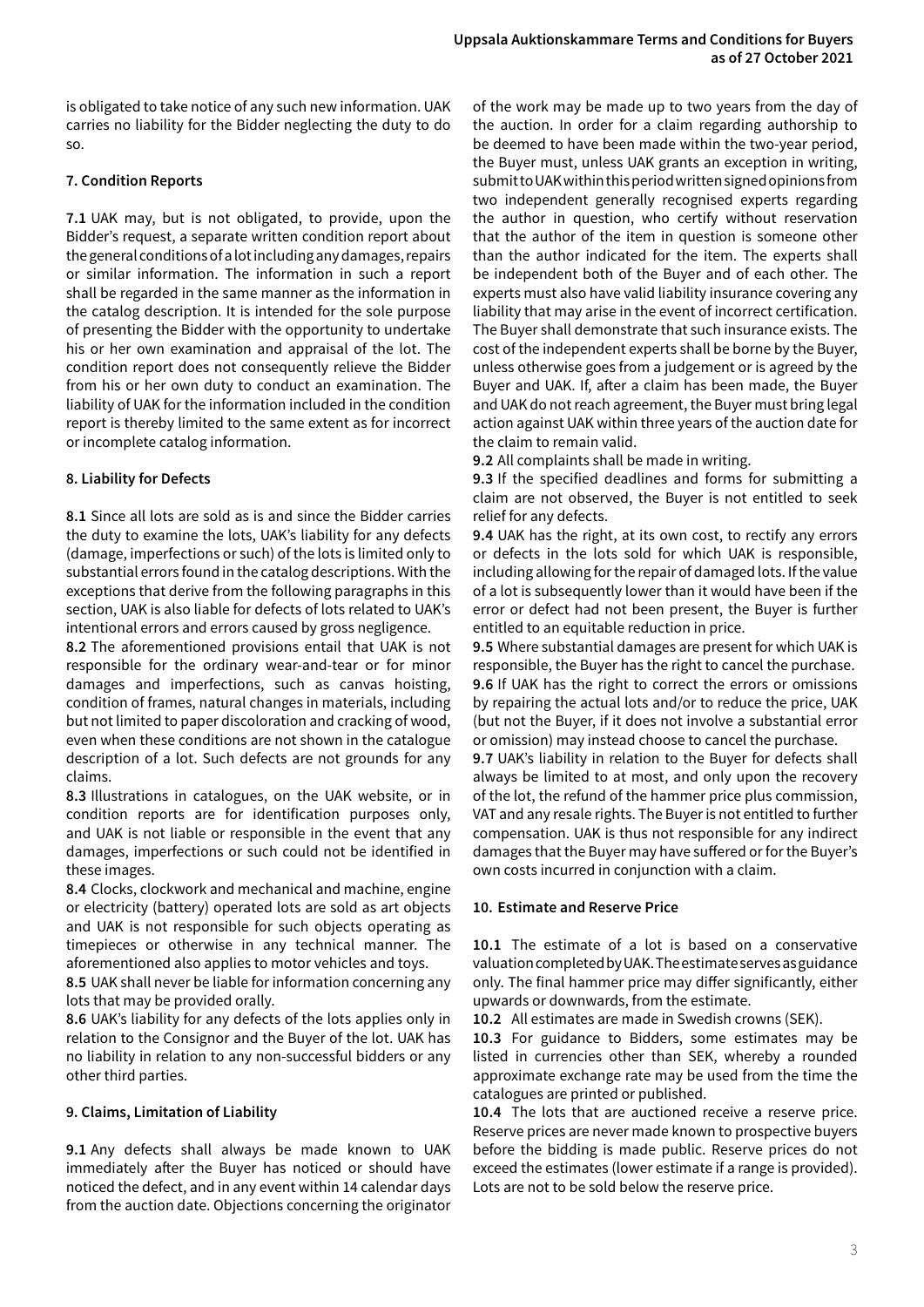is obligated to take notice of any such new information. UAK carries no liability for the Bidder neglecting the duty to do so.

# **7. Condition Reports**

**7.1** UAK may, but is not obligated, to provide, upon the Bidder's request, a separate written condition report about the general conditions of a lot including any damages, repairs or similar information. The information in such a report shall be regarded in the same manner as the information in the catalog description. It is intended for the sole purpose of presenting the Bidder with the opportunity to undertake his or her own examination and appraisal of the lot. The condition report does not consequently relieve the Bidder from his or her own duty to conduct an examination. The liability of UAK for the information included in the condition report is thereby limited to the same extent as for incorrect or incomplete catalog information.

# **8. Liability for Defects**

**8.1** Since all lots are sold as is and since the Bidder carries the duty to examine the lots, UAK's liability for any defects (damage, imperfections or such) of the lots is limited only to substantial errors found in the catalog descriptions. With the exceptions that derive from the following paragraphs in this section, UAK is also liable for defects of lots related to UAK's intentional errors and errors caused by gross negligence.

**8.2** The aforementioned provisions entail that UAK is not responsible for the ordinary wear-and-tear or for minor damages and imperfections, such as canvas hoisting, condition of frames, natural changes in materials, including but not limited to paper discoloration and cracking of wood, even when these conditions are not shown in the catalogue description of a lot. Such defects are not grounds for any claims.

**8.3** Illustrations in catalogues, on the UAK website, or in condition reports are for identification purposes only, and UAK is not liable or responsible in the event that any damages, imperfections or such could not be identified in these images.

**8.4** Clocks, clockwork and mechanical and machine, engine or electricity (battery) operated lots are sold as art objects and UAK is not responsible for such objects operating as timepieces or otherwise in any technical manner. The aforementioned also applies to motor vehicles and toys.

**8.5** UAK shall never be liable for information concerning any lots that may be provided orally.

**8.6** UAK's liability for any defects of the lots applies only in relation to the Consignor and the Buyer of the lot. UAK has no liability in relation to any non-successful bidders or any other third parties.

# **9. Claims, Limitation of Liability**

**9.1** Any defects shall always be made known to UAK immediately after the Buyer has noticed or should have noticed the defect, and in any event within 14 calendar days from the auction date. Objections concerning the originator

of the work may be made up to two years from the day of the auction. In order for a claim regarding authorship to be deemed to have been made within the two-year period, the Buyer must, unless UAK grants an exception in writing, submit to UAK within this period written signed opinions from two independent generally recognised experts regarding the author in question, who certify without reservation that the author of the item in question is someone other than the author indicated for the item. The experts shall be independent both of the Buyer and of each other. The experts must also have valid liability insurance covering any liability that may arise in the event of incorrect certification. The Buyer shall demonstrate that such insurance exists. The cost of the independent experts shall be borne by the Buyer, unless otherwise goes from a judgement or is agreed by the Buyer and UAK. If, after a claim has been made, the Buyer and UAK do not reach agreement, the Buyer must bring legal action against UAK within three years of the auction date for the claim to remain valid.

**9.2** All complaints shall be made in writing.

**9.3** If the specified deadlines and forms for submitting a claim are not observed, the Buyer is not entitled to seek relief for any defects.

**9.4** UAK has the right, at its own cost, to rectify any errors or defects in the lots sold for which UAK is responsible, including allowing for the repair of damaged lots. If the value of a lot is subsequently lower than it would have been if the error or defect had not been present, the Buyer is further entitled to an equitable reduction in price.

**9.5** Where substantial damages are present for which UAK is responsible, the Buyer has the right to cancel the purchase. **9.6** If UAK has the right to correct the errors or omissions by repairing the actual lots and/or to reduce the price, UAK (but not the Buyer, if it does not involve a substantial error or omission) may instead choose to cancel the purchase.

**9.7** UAK's liability in relation to the Buyer for defects shall always be limited to at most, and only upon the recovery of the lot, the refund of the hammer price plus commission, VAT and any resale rights. The Buyer is not entitled to further compensation. UAK is thus not responsible for any indirect damages that the Buyer may have suffered or for the Buyer's own costs incurred in conjunction with a claim.

# **10. Estimate and Reserve Price**

**10.1** The estimate of a lot is based on a conservative valuation completed by UAK. The estimate serves as guidance only. The final hammer price may differ significantly, either upwards or downwards, from the estimate.

**10.2** All estimates are made in Swedish crowns (SEK).

**10.3** For guidance to Bidders, some estimates may be listed in currencies other than SEK, whereby a rounded approximate exchange rate may be used from the time the catalogues are printed or published.

**10.4** The lots that are auctioned receive a reserve price. Reserve prices are never made known to prospective buyers before the bidding is made public. Reserve prices do not exceed the estimates (lower estimate if a range is provided). Lots are not to be sold below the reserve price.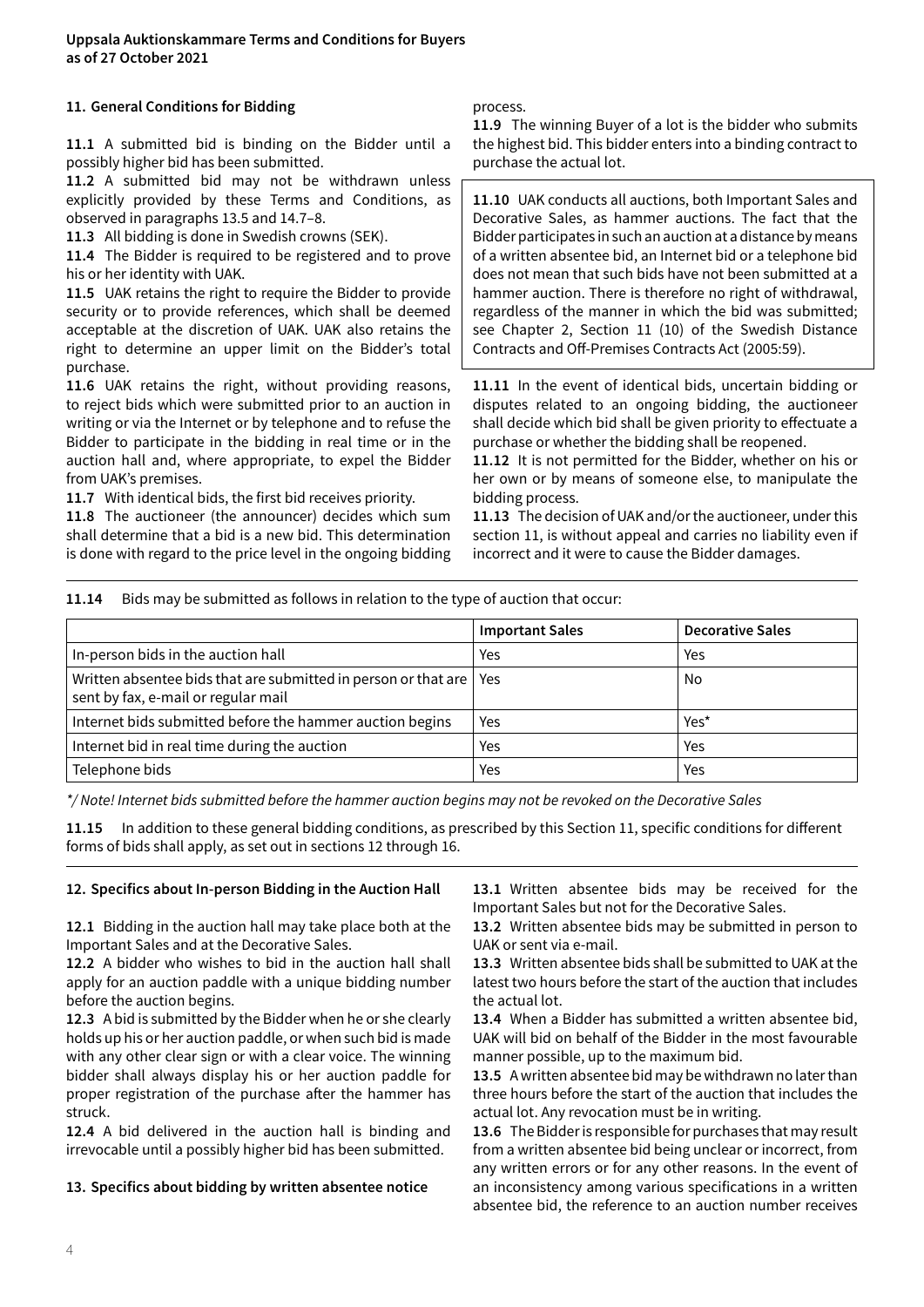#### **11. General Conditions for Bidding**

**11.1** A submitted bid is binding on the Bidder until a possibly higher bid has been submitted.

**11.2** A submitted bid may not be withdrawn unless explicitly provided by these Terms and Conditions, as observed in paragraphs 13.5 and 14.7–8.

**11.3** All bidding is done in Swedish crowns (SEK).

**11.4** The Bidder is required to be registered and to prove his or her identity with UAK.

**11.5** UAK retains the right to require the Bidder to provide security or to provide references, which shall be deemed acceptable at the discretion of UAK. UAK also retains the right to determine an upper limit on the Bidder's total purchase.

**11.6** UAK retains the right, without providing reasons, to reject bids which were submitted prior to an auction in writing or via the Internet or by telephone and to refuse the Bidder to participate in the bidding in real time or in the auction hall and, where appropriate, to expel the Bidder from UAK's premises.

**11.7** With identical bids, the first bid receives priority.

**11.8** The auctioneer (the announcer) decides which sum shall determine that a bid is a new bid. This determination is done with regard to the price level in the ongoing bidding

#### process.

**11.9** The winning Buyer of a lot is the bidder who submits the highest bid. This bidder enters into a binding contract to purchase the actual lot.

**11.10** UAK conducts all auctions, both Important Sales and Decorative Sales, as hammer auctions. The fact that the Bidder participates in such an auction at a distance by means of a written absentee bid, an Internet bid or a telephone bid does not mean that such bids have not been submitted at a hammer auction. There is therefore no right of withdrawal, regardless of the manner in which the bid was submitted; see Chapter 2, Section 11 (10) of the Swedish Distance Contracts and Off-Premises Contracts Act (2005:59).

**11.11** In the event of identical bids, uncertain bidding or disputes related to an ongoing bidding, the auctioneer shall decide which bid shall be given priority to effectuate a purchase or whether the bidding shall be reopened.

**11.12** It is not permitted for the Bidder, whether on his or her own or by means of someone else, to manipulate the bidding process.

**11.13** The decision of UAK and/or the auctioneer, under this section 11, is without appeal and carries no liability even if incorrect and it were to cause the Bidder damages.

#### **11.14** Bids may be submitted as follows in relation to the type of auction that occur:

|                                                                                                                   | <b>Important Sales</b> | <b>Decorative Sales</b> |
|-------------------------------------------------------------------------------------------------------------------|------------------------|-------------------------|
| In-person bids in the auction hall                                                                                | Yes                    | Yes                     |
| Written absentee bids that are submitted in person or that are $\vert$ Yes<br>sent by fax, e-mail or regular mail |                        | No                      |
| Internet bids submitted before the hammer auction begins                                                          | Yes                    | Yes*                    |
| Internet bid in real time during the auction                                                                      | Yes                    | Yes                     |
| Telephone bids                                                                                                    | Yes                    | Yes                     |

*\*/ Note! Internet bids submitted before the hammer auction begins may not be revoked on the Decorative Sales* 

**11.15** In addition to these general bidding conditions, as prescribed by this Section 11, specific conditions for different forms of bids shall apply, as set out in sections 12 through 16.

#### **12. Specifics about In-person Bidding in the Auction Hall**

**12.1** Bidding in the auction hall may take place both at the Important Sales and at the Decorative Sales.

**12.2** A bidder who wishes to bid in the auction hall shall apply for an auction paddle with a unique bidding number before the auction begins.

**12.3** A bid is submitted by the Bidder when he or she clearly holds up his or her auction paddle, or when such bid is made with any other clear sign or with a clear voice. The winning bidder shall always display his or her auction paddle for proper registration of the purchase after the hammer has struck.

**12.4** A bid delivered in the auction hall is binding and irrevocable until a possibly higher bid has been submitted.

#### **13. Specifics about bidding by written absentee notice**

**13.1** Written absentee bids may be received for the Important Sales but not for the Decorative Sales.

**13.2** Written absentee bids may be submitted in person to UAK or sent via e-mail.

**13.3** Written absentee bids shall be submitted to UAK at the latest two hours before the start of the auction that includes the actual lot.

**13.4** When a Bidder has submitted a written absentee bid, UAK will bid on behalf of the Bidder in the most favourable manner possible, up to the maximum bid.

**13.5** A written absentee bid may be withdrawn no later than three hours before the start of the auction that includes the actual lot. Any revocation must be in writing.

**13.6** The Bidder is responsible for purchases that may result from a written absentee bid being unclear or incorrect, from any written errors or for any other reasons. In the event of an inconsistency among various specifications in a written absentee bid, the reference to an auction number receives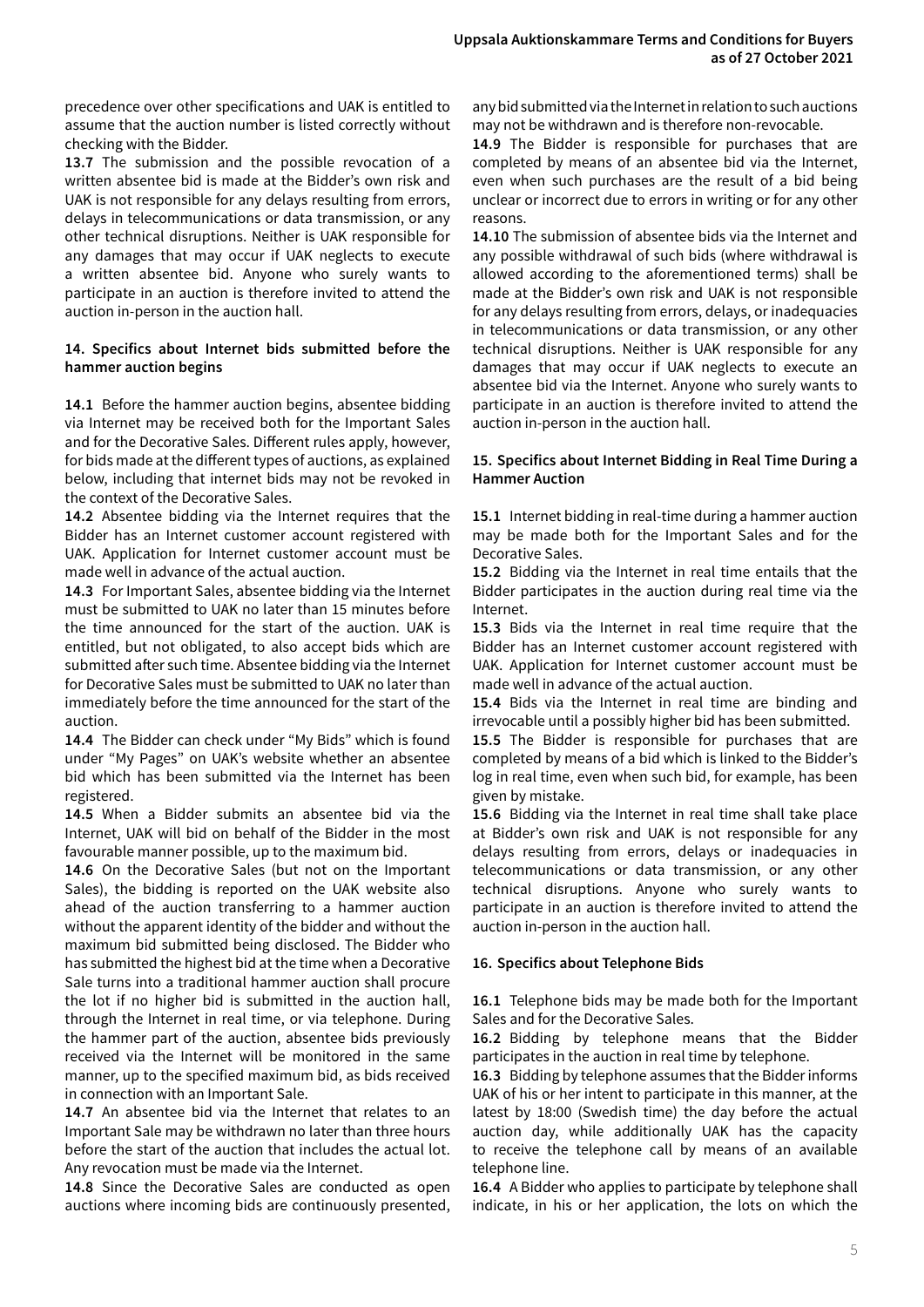precedence over other specifications and UAK is entitled to assume that the auction number is listed correctly without checking with the Bidder.

**13.7** The submission and the possible revocation of a written absentee bid is made at the Bidder's own risk and UAK is not responsible for any delays resulting from errors, delays in telecommunications or data transmission, or any other technical disruptions. Neither is UAK responsible for any damages that may occur if UAK neglects to execute a written absentee bid. Anyone who surely wants to participate in an auction is therefore invited to attend the auction in-person in the auction hall.

#### **14. Specifics about Internet bids submitted before the hammer auction begins**

**14.1** Before the hammer auction begins, absentee bidding via Internet may be received both for the Important Sales and for the Decorative Sales. Different rules apply, however, for bids made at the different types of auctions, as explained below, including that internet bids may not be revoked in the context of the Decorative Sales.

**14.2** Absentee bidding via the Internet requires that the Bidder has an Internet customer account registered with UAK. Application for Internet customer account must be made well in advance of the actual auction.

**14.3** For Important Sales, absentee bidding via the Internet must be submitted to UAK no later than 15 minutes before the time announced for the start of the auction. UAK is entitled, but not obligated, to also accept bids which are submitted after such time. Absentee bidding via the Internet for Decorative Sales must be submitted to UAK no later than immediately before the time announced for the start of the auction.

**14.4** The Bidder can check under "My Bids" which is found under "My Pages" on UAK's website whether an absentee bid which has been submitted via the Internet has been registered.

**14.5** When a Bidder submits an absentee bid via the Internet, UAK will bid on behalf of the Bidder in the most favourable manner possible, up to the maximum bid.

**14.6** On the Decorative Sales (but not on the Important Sales), the bidding is reported on the UAK website also ahead of the auction transferring to a hammer auction without the apparent identity of the bidder and without the maximum bid submitted being disclosed. The Bidder who has submitted the highest bid at the time when a Decorative Sale turns into a traditional hammer auction shall procure the lot if no higher bid is submitted in the auction hall, through the Internet in real time, or via telephone. During the hammer part of the auction, absentee bids previously received via the Internet will be monitored in the same manner, up to the specified maximum bid, as bids received in connection with an Important Sale.

**14.7** An absentee bid via the Internet that relates to an Important Sale may be withdrawn no later than three hours before the start of the auction that includes the actual lot. Any revocation must be made via the Internet.

**14.8** Since the Decorative Sales are conducted as open auctions where incoming bids are continuously presented, any bid submitted via the Internet in relation to such auctions may not be withdrawn and is therefore non-revocable.

**14.9** The Bidder is responsible for purchases that are completed by means of an absentee bid via the Internet, even when such purchases are the result of a bid being unclear or incorrect due to errors in writing or for any other reasons.

**14.10** The submission of absentee bids via the Internet and any possible withdrawal of such bids (where withdrawal is allowed according to the aforementioned terms) shall be made at the Bidder's own risk and UAK is not responsible for any delays resulting from errors, delays, or inadequacies in telecommunications or data transmission, or any other technical disruptions. Neither is UAK responsible for any damages that may occur if UAK neglects to execute an absentee bid via the Internet. Anyone who surely wants to participate in an auction is therefore invited to attend the auction in-person in the auction hall.

#### **15. Specifics about Internet Bidding in Real Time During a Hammer Auction**

**15.1** Internet bidding in real-time during a hammer auction may be made both for the Important Sales and for the Decorative Sales.

**15.2** Bidding via the Internet in real time entails that the Bidder participates in the auction during real time via the Internet.

**15.3** Bids via the Internet in real time require that the Bidder has an Internet customer account registered with UAK. Application for Internet customer account must be made well in advance of the actual auction.

**15.4** Bids via the Internet in real time are binding and irrevocable until a possibly higher bid has been submitted.

**15.5** The Bidder is responsible for purchases that are completed by means of a bid which is linked to the Bidder's log in real time, even when such bid, for example, has been given by mistake.

**15.6** Bidding via the Internet in real time shall take place at Bidder's own risk and UAK is not responsible for any delays resulting from errors, delays or inadequacies in telecommunications or data transmission, or any other technical disruptions. Anyone who surely wants to participate in an auction is therefore invited to attend the auction in-person in the auction hall.

# **16. Specifics about Telephone Bids**

**16.1** Telephone bids may be made both for the Important Sales and for the Decorative Sales.

**16.2** Bidding by telephone means that the Bidder participates in the auction in real time by telephone.

**16.3** Bidding by telephone assumes that the Bidder informs UAK of his or her intent to participate in this manner, at the latest by 18:00 (Swedish time) the day before the actual auction day, while additionally UAK has the capacity to receive the telephone call by means of an available telephone line.

**16.4** A Bidder who applies to participate by telephone shall indicate, in his or her application, the lots on which the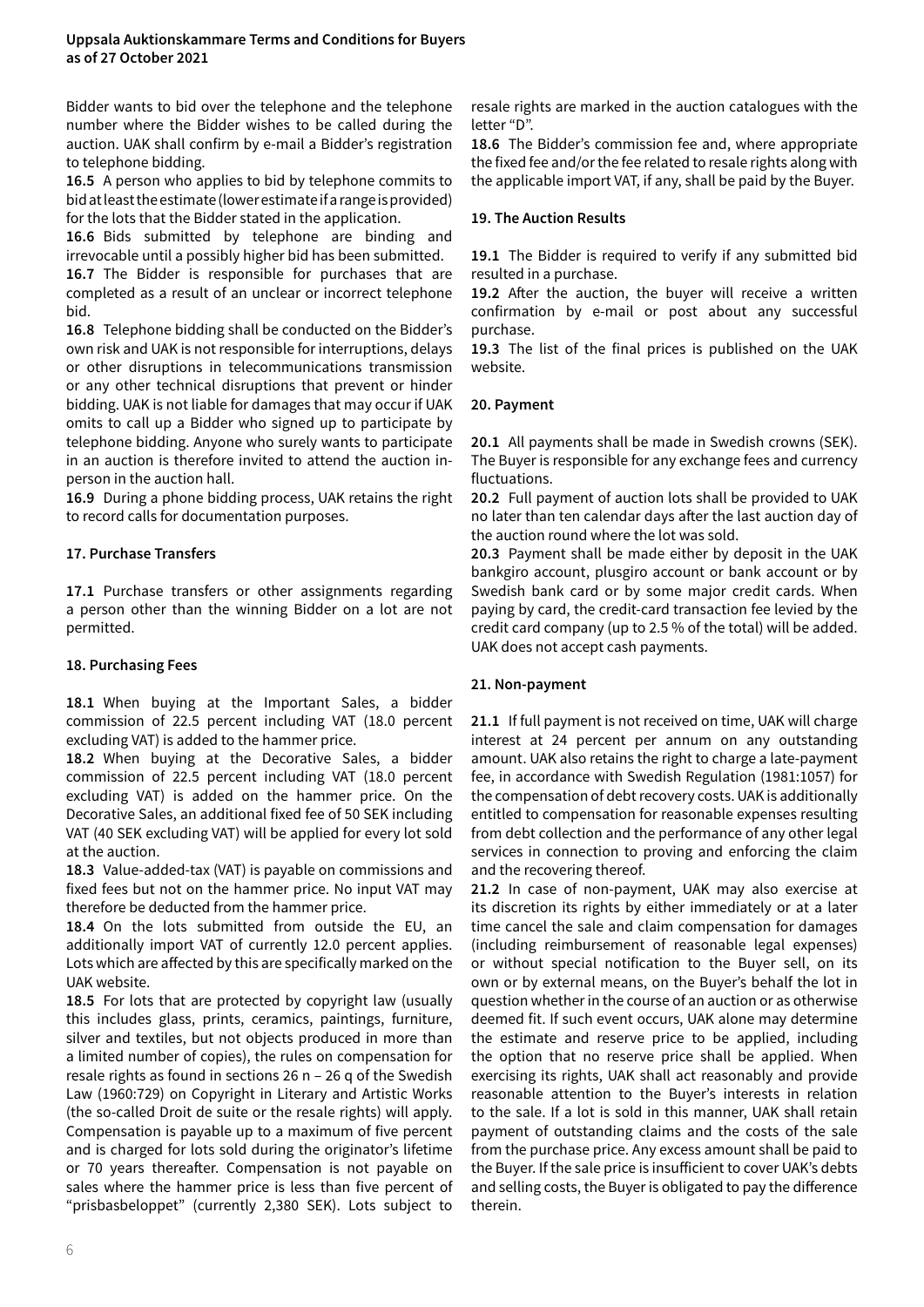Bidder wants to bid over the telephone and the telephone number where the Bidder wishes to be called during the auction. UAK shall confirm by e-mail a Bidder's registration to telephone bidding.

**16.5** A person who applies to bid by telephone commits to bid at least the estimate (lower estimate if a range is provided) for the lots that the Bidder stated in the application.

**16.6** Bids submitted by telephone are binding and irrevocable until a possibly higher bid has been submitted.

**16.7** The Bidder is responsible for purchases that are completed as a result of an unclear or incorrect telephone bid.

**16.8** Telephone bidding shall be conducted on the Bidder's own risk and UAK is not responsible for interruptions, delays or other disruptions in telecommunications transmission or any other technical disruptions that prevent or hinder bidding. UAK is not liable for damages that may occur if UAK omits to call up a Bidder who signed up to participate by telephone bidding. Anyone who surely wants to participate in an auction is therefore invited to attend the auction inperson in the auction hall.

**16.9** During a phone bidding process, UAK retains the right to record calls for documentation purposes.

# **17. Purchase Transfers**

**17.1** Purchase transfers or other assignments regarding a person other than the winning Bidder on a lot are not permitted.

# **18. Purchasing Fees**

**18.1** When buying at the Important Sales, a bidder commission of 22.5 percent including VAT (18.0 percent excluding VAT) is added to the hammer price.

**18.2** When buying at the Decorative Sales, a bidder commission of 22.5 percent including VAT (18.0 percent excluding VAT) is added on the hammer price. On the Decorative Sales, an additional fixed fee of 50 SEK including VAT (40 SEK excluding VAT) will be applied for every lot sold at the auction.

**18.3** Value-added-tax (VAT) is payable on commissions and fixed fees but not on the hammer price. No input VAT may therefore be deducted from the hammer price.

**18.4** On the lots submitted from outside the EU, an additionally import VAT of currently 12.0 percent applies. Lots which are affected by this are specifically marked on the UAK website.

**18.5** For lots that are protected by copyright law (usually this includes glass, prints, ceramics, paintings, furniture, silver and textiles, but not objects produced in more than a limited number of copies), the rules on compensation for resale rights as found in sections 26 n – 26 q of the Swedish Law (1960:729) on Copyright in Literary and Artistic Works (the so-called Droit de suite or the resale rights) will apply. Compensation is payable up to a maximum of five percent and is charged for lots sold during the originator's lifetime or 70 years thereafter. Compensation is not payable on sales where the hammer price is less than five percent of "prisbasbeloppet" (currently 2,380 SEK). Lots subject to

resale rights are marked in the auction catalogues with the letter "D".

**18.6** The Bidder's commission fee and, where appropriate the fixed fee and/or the fee related to resale rights along with the applicable import VAT, if any, shall be paid by the Buyer.

# **19. The Auction Results**

**19.1** The Bidder is required to verify if any submitted bid resulted in a purchase.

**19.2** After the auction, the buyer will receive a written confirmation by e-mail or post about any successful purchase.

**19.3** The list of the final prices is published on the UAK website.

# **20. Payment**

**20.1** All payments shall be made in Swedish crowns (SEK). The Buyer is responsible for any exchange fees and currency fluctuations.

**20.2** Full payment of auction lots shall be provided to UAK no later than ten calendar days after the last auction day of the auction round where the lot was sold.

**20.3** Payment shall be made either by deposit in the UAK bankgiro account, plusgiro account or bank account or by Swedish bank card or by some major credit cards. When paying by card, the credit-card transaction fee levied by the credit card company (up to 2.5 % of the total) will be added. UAK does not accept cash payments.

# **21. Non-payment**

**21.1** If full payment is not received on time, UAK will charge interest at 24 percent per annum on any outstanding amount. UAK also retains the right to charge a late-payment fee, in accordance with Swedish Regulation (1981:1057) for the compensation of debt recovery costs. UAK is additionally entitled to compensation for reasonable expenses resulting from debt collection and the performance of any other legal services in connection to proving and enforcing the claim and the recovering thereof.

**21.2** In case of non-payment, UAK may also exercise at its discretion its rights by either immediately or at a later time cancel the sale and claim compensation for damages (including reimbursement of reasonable legal expenses) or without special notification to the Buyer sell, on its own or by external means, on the Buyer's behalf the lot in question whether in the course of an auction or as otherwise deemed fit. If such event occurs, UAK alone may determine the estimate and reserve price to be applied, including the option that no reserve price shall be applied. When exercising its rights, UAK shall act reasonably and provide reasonable attention to the Buyer's interests in relation to the sale. If a lot is sold in this manner, UAK shall retain payment of outstanding claims and the costs of the sale from the purchase price. Any excess amount shall be paid to the Buyer. If the sale price is insufficient to cover UAK's debts and selling costs, the Buyer is obligated to pay the difference therein.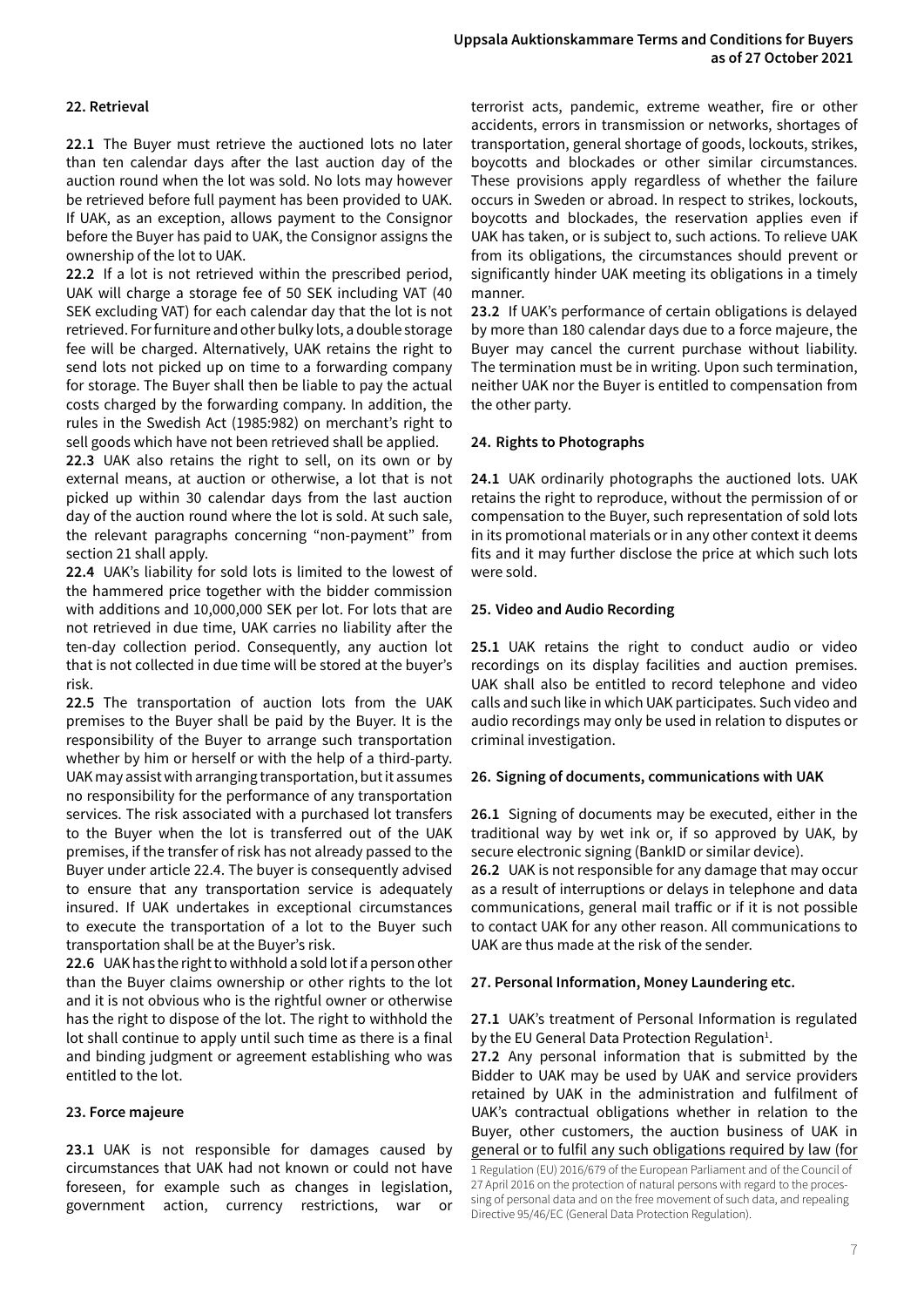# **22. Retrieval**

**22.1** The Buyer must retrieve the auctioned lots no later than ten calendar days after the last auction day of the auction round when the lot was sold. No lots may however be retrieved before full payment has been provided to UAK. If UAK, as an exception, allows payment to the Consignor before the Buyer has paid to UAK, the Consignor assigns the ownership of the lot to UAK.

**22.2** If a lot is not retrieved within the prescribed period, UAK will charge a storage fee of 50 SEK including VAT (40 SEK excluding VAT) for each calendar day that the lot is not retrieved. For furniture and other bulky lots, a double storage fee will be charged. Alternatively, UAK retains the right to send lots not picked up on time to a forwarding company for storage. The Buyer shall then be liable to pay the actual costs charged by the forwarding company. In addition, the rules in the Swedish Act (1985:982) on merchant's right to sell goods which have not been retrieved shall be applied.

**22.3** UAK also retains the right to sell, on its own or by external means, at auction or otherwise, a lot that is not picked up within 30 calendar days from the last auction day of the auction round where the lot is sold. At such sale, the relevant paragraphs concerning "non-payment" from section 21 shall apply.

**22.4** UAK's liability for sold lots is limited to the lowest of the hammered price together with the bidder commission with additions and 10,000,000 SEK per lot. For lots that are not retrieved in due time, UAK carries no liability after the ten-day collection period. Consequently, any auction lot that is not collected in due time will be stored at the buyer's risk.

**22.5** The transportation of auction lots from the UAK premises to the Buyer shall be paid by the Buyer. It is the responsibility of the Buyer to arrange such transportation whether by him or herself or with the help of a third-party. UAK may assist with arranging transportation, but it assumes no responsibility for the performance of any transportation services. The risk associated with a purchased lot transfers to the Buyer when the lot is transferred out of the UAK premises, if the transfer of risk has not already passed to the Buyer under article 22.4. The buyer is consequently advised to ensure that any transportation service is adequately insured. If UAK undertakes in exceptional circumstances to execute the transportation of a lot to the Buyer such transportation shall be at the Buyer's risk.

**22.6** UAK has the right to withhold a sold lot if a person other than the Buyer claims ownership or other rights to the lot and it is not obvious who is the rightful owner or otherwise has the right to dispose of the lot. The right to withhold the lot shall continue to apply until such time as there is a final and binding judgment or agreement establishing who was entitled to the lot.

#### **23. Force majeure**

**23.1** UAK is not responsible for damages caused by circumstances that UAK had not known or could not have foreseen, for example such as changes in legislation, government action, currency restrictions, war or

terrorist acts, pandemic, extreme weather, fire or other accidents, errors in transmission or networks, shortages of transportation, general shortage of goods, lockouts, strikes, boycotts and blockades or other similar circumstances. These provisions apply regardless of whether the failure occurs in Sweden or abroad. In respect to strikes, lockouts, boycotts and blockades, the reservation applies even if UAK has taken, or is subject to, such actions. To relieve UAK from its obligations, the circumstances should prevent or significantly hinder UAK meeting its obligations in a timely manner.

**23.2** If UAK's performance of certain obligations is delayed by more than 180 calendar days due to a force majeure, the Buyer may cancel the current purchase without liability. The termination must be in writing. Upon such termination, neither UAK nor the Buyer is entitled to compensation from the other party.

#### **24. Rights to Photographs**

**24.1** UAK ordinarily photographs the auctioned lots. UAK retains the right to reproduce, without the permission of or compensation to the Buyer, such representation of sold lots in its promotional materials or in any other context it deems fits and it may further disclose the price at which such lots were sold.

#### **25. Video and Audio Recording**

**25.1** UAK retains the right to conduct audio or video recordings on its display facilities and auction premises. UAK shall also be entitled to record telephone and video calls and such like in which UAK participates. Such video and audio recordings may only be used in relation to disputes or criminal investigation.

# **26. Signing of documents, communications with UAK**

**26.1** Signing of documents may be executed, either in the traditional way by wet ink or, if so approved by UAK, by secure electronic signing (BankID or similar device).

**26.2** UAK is not responsible for any damage that may occur as a result of interruptions or delays in telephone and data communications, general mail traffic or if it is not possible to contact UAK for any other reason. All communications to UAK are thus made at the risk of the sender.

# **27. Personal Information, Money Laundering etc.**

**27.1** UAK's treatment of Personal Information is regulated by the EU General Data Protection Regulation<sup>1</sup>.

**27.2** Any personal information that is submitted by the Bidder to UAK may be used by UAK and service providers retained by UAK in the administration and fulfilment of UAK's contractual obligations whether in relation to the Buyer, other customers, the auction business of UAK in general or to fulfil any such obligations required by law (for

<sup>1</sup> Regulation (EU) 2016/679 of the European Parliament and of the Council of 27 April 2016 on the protection of natural persons with regard to the processing of personal data and on the free movement of such data, and repealing Directive 95/46/EC (General Data Protection Regulation).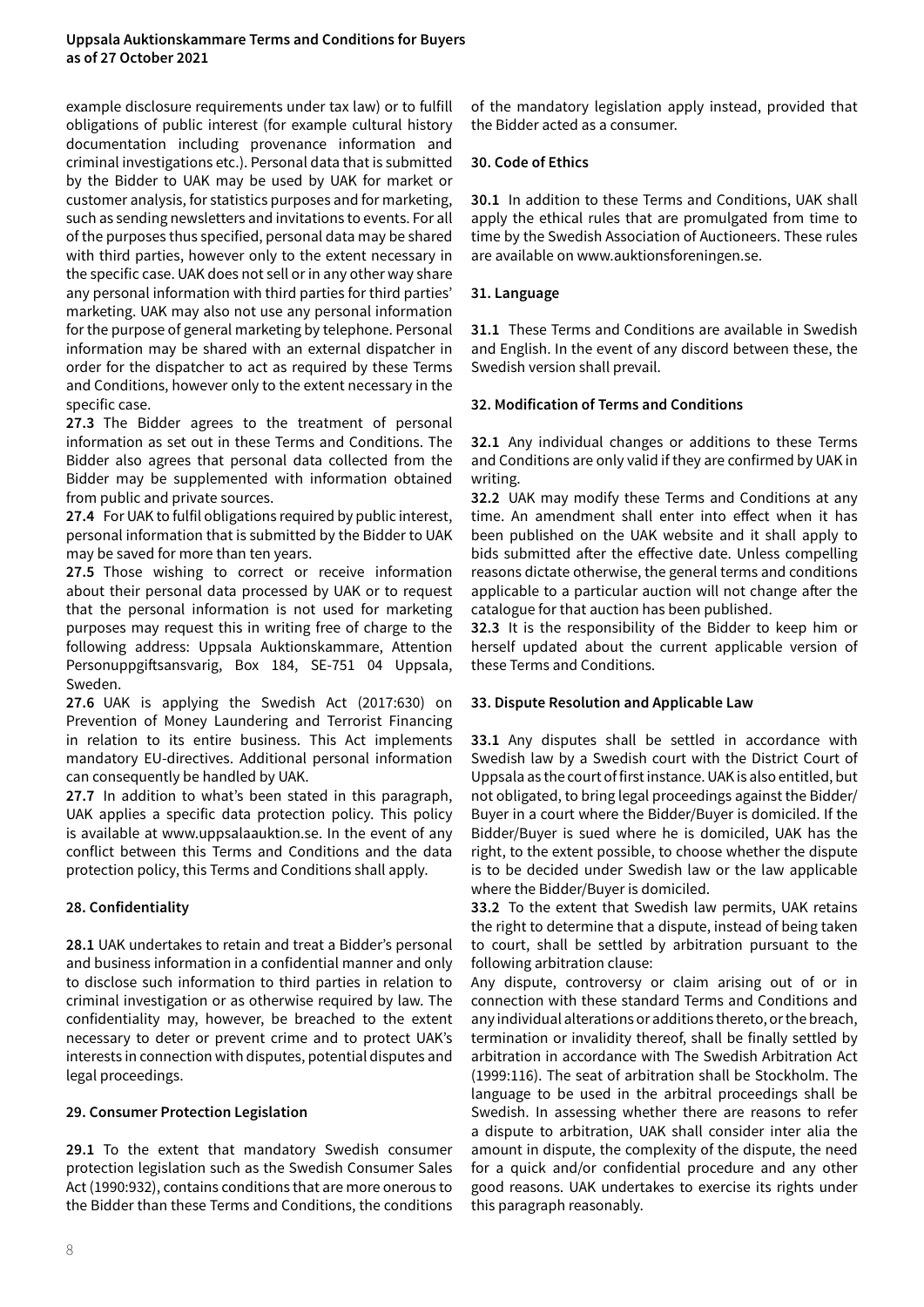#### **Uppsala Auktionskammare Terms and Conditions for Buyers as of 27 October 2021**

example disclosure requirements under tax law) or to fulfill obligations of public interest (for example cultural history documentation including provenance information and criminal investigations etc.). Personal data that is submitted by the Bidder to UAK may be used by UAK for market or customer analysis, for statistics purposes and for marketing, such as sending newsletters and invitations to events. For all of the purposes thus specified, personal data may be shared with third parties, however only to the extent necessary in the specific case. UAK does not sell or in any other way share any personal information with third parties for third parties' marketing. UAK may also not use any personal information for the purpose of general marketing by telephone. Personal information may be shared with an external dispatcher in order for the dispatcher to act as required by these Terms and Conditions, however only to the extent necessary in the specific case.

**27.3** The Bidder agrees to the treatment of personal information as set out in these Terms and Conditions. The Bidder also agrees that personal data collected from the Bidder may be supplemented with information obtained from public and private sources.

**27.4** For UAK to fulfil obligations required by public interest, personal information that is submitted by the Bidder to UAK may be saved for more than ten years.

**27.5** Those wishing to correct or receive information about their personal data processed by UAK or to request that the personal information is not used for marketing purposes may request this in writing free of charge to the following address: Uppsala Auktionskammare, Attention Personuppgiftsansvarig, Box 184, SE-751 04 Uppsala, Sweden.

**27.6** UAK is applying the Swedish Act (2017:630) on Prevention of Money Laundering and Terrorist Financing in relation to its entire business. This Act implements mandatory EU-directives. Additional personal information can consequently be handled by UAK.

**27.7** In addition to what's been stated in this paragraph, UAK applies a specific data protection policy. This policy is available at www.uppsalaauktion.se. In the event of any conflict between this Terms and Conditions and the data protection policy, this Terms and Conditions shall apply.

# **28. Confidentiality**

**28.1** UAK undertakes to retain and treat a Bidder's personal and business information in a confidential manner and only to disclose such information to third parties in relation to criminal investigation or as otherwise required by law. The confidentiality may, however, be breached to the extent necessary to deter or prevent crime and to protect UAK's interests in connection with disputes, potential disputes and legal proceedings.

# **29. Consumer Protection Legislation**

**29.1** To the extent that mandatory Swedish consumer protection legislation such as the Swedish Consumer Sales Act (1990:932), contains conditions that are more onerous to the Bidder than these Terms and Conditions, the conditions of the mandatory legislation apply instead, provided that the Bidder acted as a consumer.

# **30. Code of Ethics**

**30.1** In addition to these Terms and Conditions, UAK shall apply the ethical rules that are promulgated from time to time by the Swedish Association of Auctioneers. These rules are available on www.auktionsforeningen.se.

# **31. Language**

**31.1** These Terms and Conditions are available in Swedish and English. In the event of any discord between these, the Swedish version shall prevail.

# **32. Modification of Terms and Conditions**

**32.1** Any individual changes or additions to these Terms and Conditions are only valid if they are confirmed by UAK in writing.

**32.2** UAK may modify these Terms and Conditions at any time. An amendment shall enter into effect when it has been published on the UAK website and it shall apply to bids submitted after the effective date. Unless compelling reasons dictate otherwise, the general terms and conditions applicable to a particular auction will not change after the catalogue for that auction has been published.

**32.3** It is the responsibility of the Bidder to keep him or herself updated about the current applicable version of these Terms and Conditions.

# **33. Dispute Resolution and Applicable Law**

**33.1** Any disputes shall be settled in accordance with Swedish law by a Swedish court with the District Court of Uppsala as the court of first instance. UAK is also entitled, but not obligated, to bring legal proceedings against the Bidder/ Buyer in a court where the Bidder/Buyer is domiciled. If the Bidder/Buyer is sued where he is domiciled, UAK has the right, to the extent possible, to choose whether the dispute is to be decided under Swedish law or the law applicable where the Bidder/Buyer is domiciled.

**33.2** To the extent that Swedish law permits, UAK retains the right to determine that a dispute, instead of being taken to court, shall be settled by arbitration pursuant to the following arbitration clause:

Any dispute, controversy or claim arising out of or in connection with these standard Terms and Conditions and any individual alterations or additions thereto, or the breach, termination or invalidity thereof, shall be finally settled by arbitration in accordance with The Swedish Arbitration Act (1999:116). The seat of arbitration shall be Stockholm. The language to be used in the arbitral proceedings shall be Swedish. In assessing whether there are reasons to refer a dispute to arbitration, UAK shall consider inter alia the amount in dispute, the complexity of the dispute, the need for a quick and/or confidential procedure and any other good reasons. UAK undertakes to exercise its rights under this paragraph reasonably.